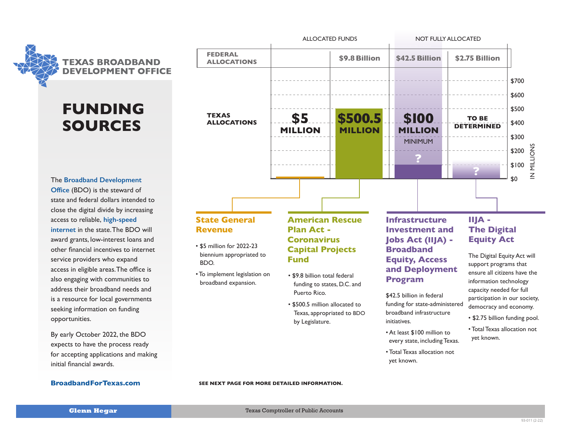

# **FUNDING SOURCES DEVELOPMENT OF**

**TEXAS [internet](https://comptroller.texas.gov/programs/broadband/about.php)** in the state. The BDO will award grants, low-interest loans and **OFFICE** access to reliable, **high-speed OFFICE** other financial incentives to internet The **[Broadband Development](https://comptroller.texas.gov/programs/broadband/)  [Office](https://comptroller.texas.gov/programs/broadband/)** (BDO) is the steward of state and federal dollars intended to close the digital divide by increasing service providers who expand access in eligible areas. The office is also engaging with communities to address their broadband needs and is a resource for local governments seeking information on funding opportunities.

> By early October 2022, the BDO expects to have the process ready for accepting applications and making initial financial awards.

### **[BroadbandForTexas.com](http://BroadbandForTexas.com)**



# **Revenue**

- \$5 million for 2022-23 biennium appropriated to BDO.
- To implement legislation on broadband expansion.

# **Plan Act - Coronavirus Capital Projects Fund**

- \$9.8 billion total federal funding to states, D.C. and Puerto Rico.
- \$500.5 million allocated to Texas, appropriated to BDO by Legislature.

## **Investment and Jobs Act (IIJA) - Broadband Equity, Access and Deployment Program**

\$42.5 billion in federal funding for state-administered broadband infrastructure initiatives.

- At least \$100 million to every state, including Texas.
- Total Texas allocation not yet known.

# **The Digital Equity Act**

The Digital Equity Act will support programs that ensure all citizens have the information technology capacity needed for full participation in our society, democracy and economy.

- \$2.75 billion funding pool.
- Total Texas allocation not yet known.

#### **SEE NEXT PAGE FOR MORE DETAILED INFORMATION.**